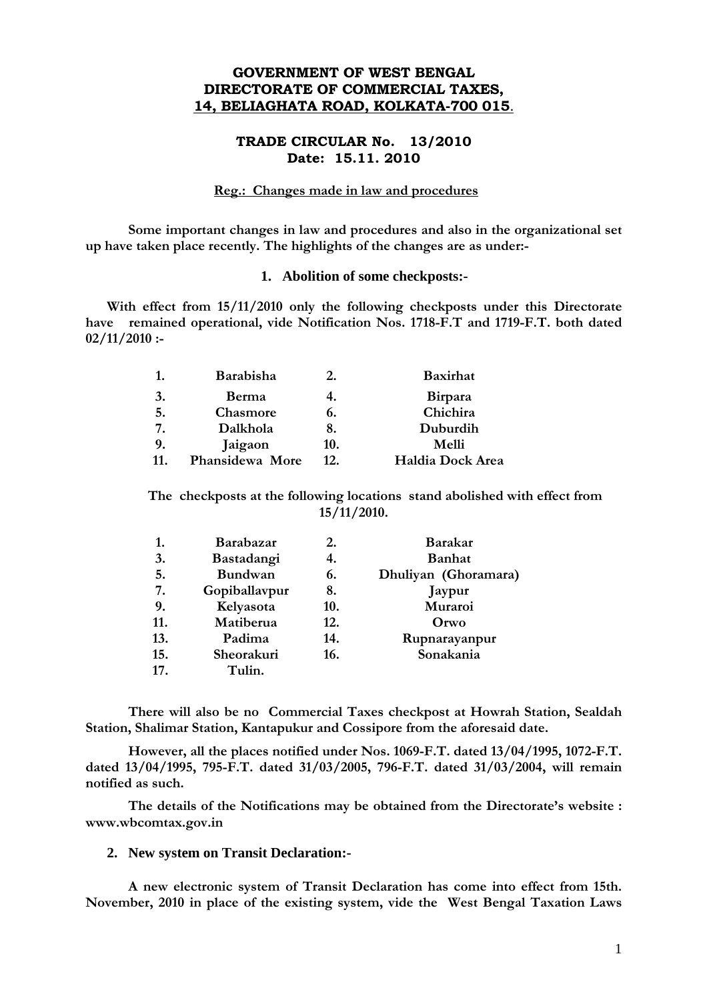# **GOVERNMENT OF WEST BENGAL DIRECTORATE OF COMMERCIAL TAXES, 14, BELIAGHATA ROAD, KOLKATA-700 015**.

## **TRADE CIRCULAR No. 13/2010 Date: 15.11. 2010**

## **Reg.: Changes made in law and procedures**

**Some important changes in law and procedures and also in the organizational set up have taken place recently. The highlights of the changes are as under:-** 

#### **1. Abolition of some checkposts:-**

**With effect from 15/11/2010 only the following checkposts under this Directorate have remained operational, vide Notification Nos. 1718-F.T and 1719-F.T. both dated 02/11/2010 :-** 

| 1. | Barabisha       |     | <b>Baxirhat</b>  |
|----|-----------------|-----|------------------|
| 3. | Berma           |     | <b>Birpara</b>   |
| 5. | Chasmore        | 6.  | Chichira         |
| 7. | Dalkhola        |     | Duburdih         |
| 9. | Jaigaon         | 10. | Melli            |
| 11 | Phansidewa More | 12. | Haldia Dock Area |

**The checkposts at the following locations stand abolished with effect from 15/11/2010.** 

| 1.  | Barabazar      | 2.  | <b>Barakar</b>       |
|-----|----------------|-----|----------------------|
| 3.  | Bastadangi     | 4.  | <b>Banhat</b>        |
| 5.  | <b>Bundwan</b> | 6.  | Dhuliyan (Ghoramara) |
| 7.  | Gopiballavpur  | 8.  | Jaypur               |
| 9.  | Kelyasota      | 10. | Muraroi              |
| 11. | Matiberua      | 12. | Orwo                 |
| 13. | Padima         | 14. | Rupnarayanpur        |
| 15. | Sheorakuri     | 16. | Sonakania            |
| 17. | Tulin.         |     |                      |

**There will also be no Commercial Taxes checkpost at Howrah Station, Sealdah Station, Shalimar Station, Kantapukur and Cossipore from the aforesaid date.** 

**However, all the places notified under Nos. 1069-F.T. dated 13/04/1995, 1072-F.T. dated 13/04/1995, 795-F.T. dated 31/03/2005, 796-F.T. dated 31/03/2004, will remain notified as such.** 

**The details of the Notifications may be obtained from the Directorate's website : www.wbcomtax.gov.in** 

## **2. New system on Transit Declaration:-**

**A new electronic system of Transit Declaration has come into effect from 15th. November, 2010 in place of the existing system, vide the West Bengal Taxation Laws**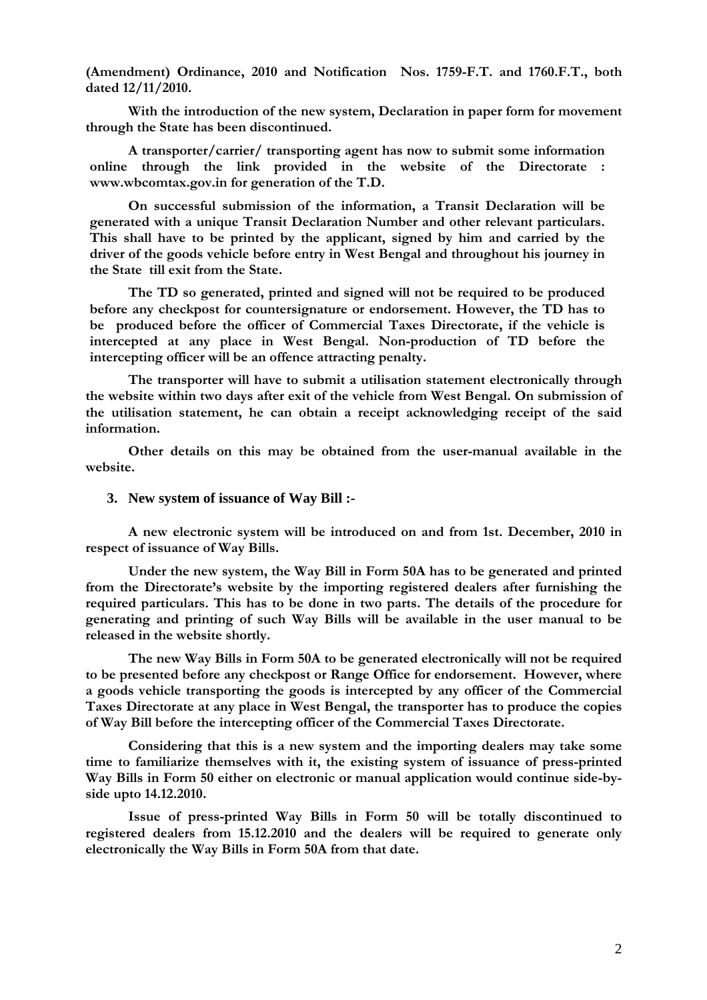**(Amendment) Ordinance, 2010 and Notification Nos. 1759-F.T. and 1760.F.T., both dated 12/11/2010.** 

**With the introduction of the new system, Declaration in paper form for movement through the State has been discontinued.** 

**A transporter/carrier/ transporting agent has now to submit some information online through the link provided in the website of the Directorate : www.wbcomtax.gov.in for generation of the T.D.** 

**On successful submission of the information, a Transit Declaration will be generated with a unique Transit Declaration Number and other relevant particulars. This shall have to be printed by the applicant, signed by him and carried by the driver of the goods vehicle before entry in West Bengal and throughout his journey in the State till exit from the State.** 

**The TD so generated, printed and signed will not be required to be produced before any checkpost for countersignature or endorsement. However, the TD has to be produced before the officer of Commercial Taxes Directorate, if the vehicle is intercepted at any place in West Bengal. Non-production of TD before the intercepting officer will be an offence attracting penalty.** 

**The transporter will have to submit a utilisation statement electronically through the website within two days after exit of the vehicle from West Bengal. On submission of the utilisation statement, he can obtain a receipt acknowledging receipt of the said information.** 

**Other details on this may be obtained from the user-manual available in the website.** 

#### **3. New system of issuance of Way Bill :-**

**A new electronic system will be introduced on and from 1st. December, 2010 in respect of issuance of Way Bills.** 

**Under the new system, the Way Bill in Form 50A has to be generated and printed from the Directorate's website by the importing registered dealers after furnishing the required particulars. This has to be done in two parts. The details of the procedure for generating and printing of such Way Bills will be available in the user manual to be released in the website shortly.** 

**The new Way Bills in Form 50A to be generated electronically will not be required to be presented before any checkpost or Range Office for endorsement. However, where a goods vehicle transporting the goods is intercepted by any officer of the Commercial Taxes Directorate at any place in West Bengal, the transporter has to produce the copies of Way Bill before the intercepting officer of the Commercial Taxes Directorate.** 

**Considering that this is a new system and the importing dealers may take some time to familiarize themselves with it, the existing system of issuance of press-printed Way Bills in Form 50 either on electronic or manual application would continue side-byside upto 14.12.2010.** 

**Issue of press-printed Way Bills in Form 50 will be totally discontinued to registered dealers from 15.12.2010 and the dealers will be required to generate only electronically the Way Bills in Form 50A from that date.**